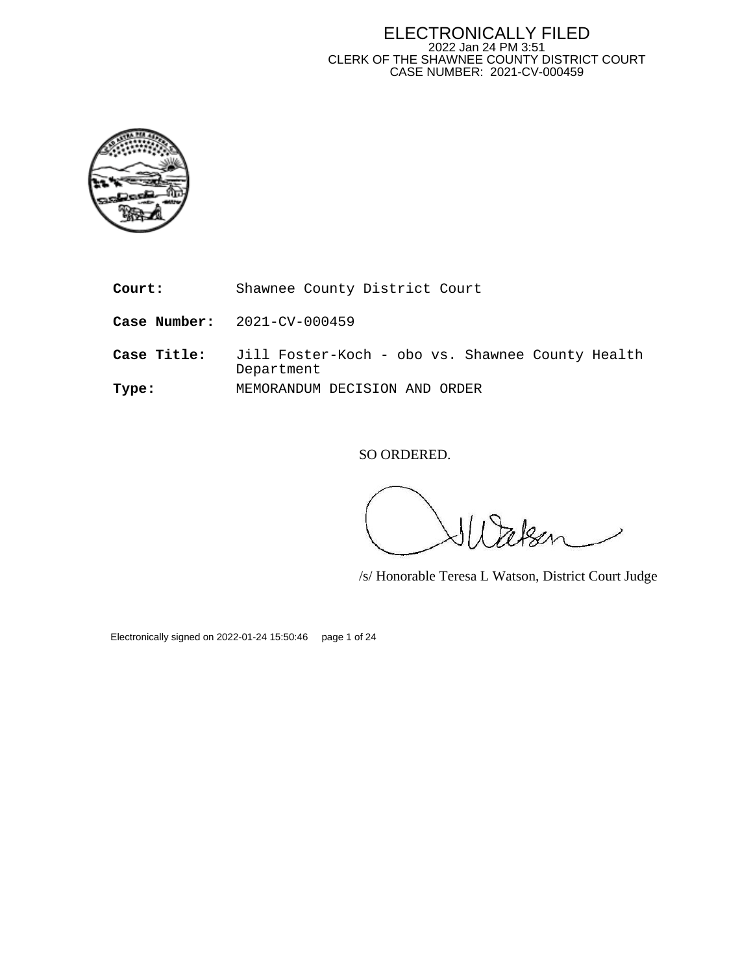#### ELECTRONICALLY FILED 2022 Jan 24 PM 3:51 CLERK OF THE SHAWNEE COUNTY DISTRICT COURT CASE NUMBER: 2021-CV-000459



**Court:** Shawnee County District Court

**Case Number:** 2021-CV-000459

**Case Title:** Jill Foster-Koch - obo vs. Shawnee County Health Department **Type:** MEMORANDUM DECISION AND ORDER

SO ORDERED.

/s/ Honorable Teresa L Watson, District Court Judge

Electronically signed on 2022-01-24 15:50:46 page 1 of 24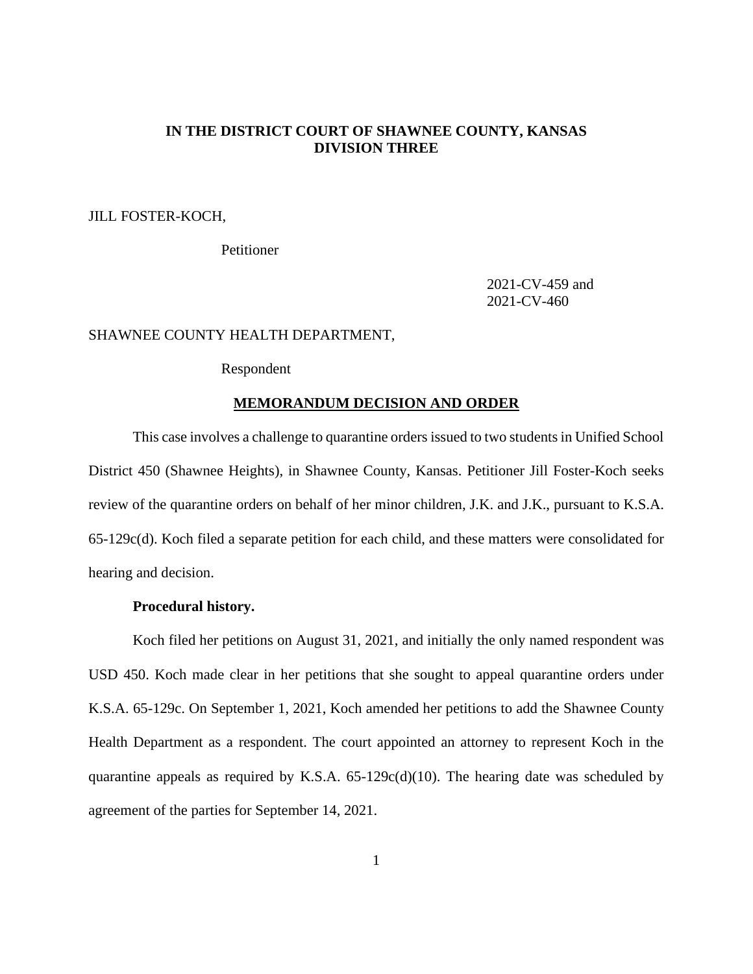# **IN THE DISTRICT COURT OF SHAWNEE COUNTY, KANSAS DIVISION THREE**

JILL FOSTER-KOCH,

Petitioner

2021-CV-459 and 2021-CV-460

# SHAWNEE COUNTY HEALTH DEPARTMENT,

# Respondent

## **MEMORANDUM DECISION AND ORDER**

This case involves a challenge to quarantine orders issued to two students in Unified School District 450 (Shawnee Heights), in Shawnee County, Kansas. Petitioner Jill Foster-Koch seeks review of the quarantine orders on behalf of her minor children, J.K. and J.K., pursuant to K.S.A. 65-129c(d). Koch filed a separate petition for each child, and these matters were consolidated for hearing and decision.

# **Procedural history.**

Koch filed her petitions on August 31, 2021, and initially the only named respondent was USD 450. Koch made clear in her petitions that she sought to appeal quarantine orders under K.S.A. 65-129c. On September 1, 2021, Koch amended her petitions to add the Shawnee County Health Department as a respondent. The court appointed an attorney to represent Koch in the quarantine appeals as required by K.S.A.  $65-129c(d)(10)$ . The hearing date was scheduled by agreement of the parties for September 14, 2021.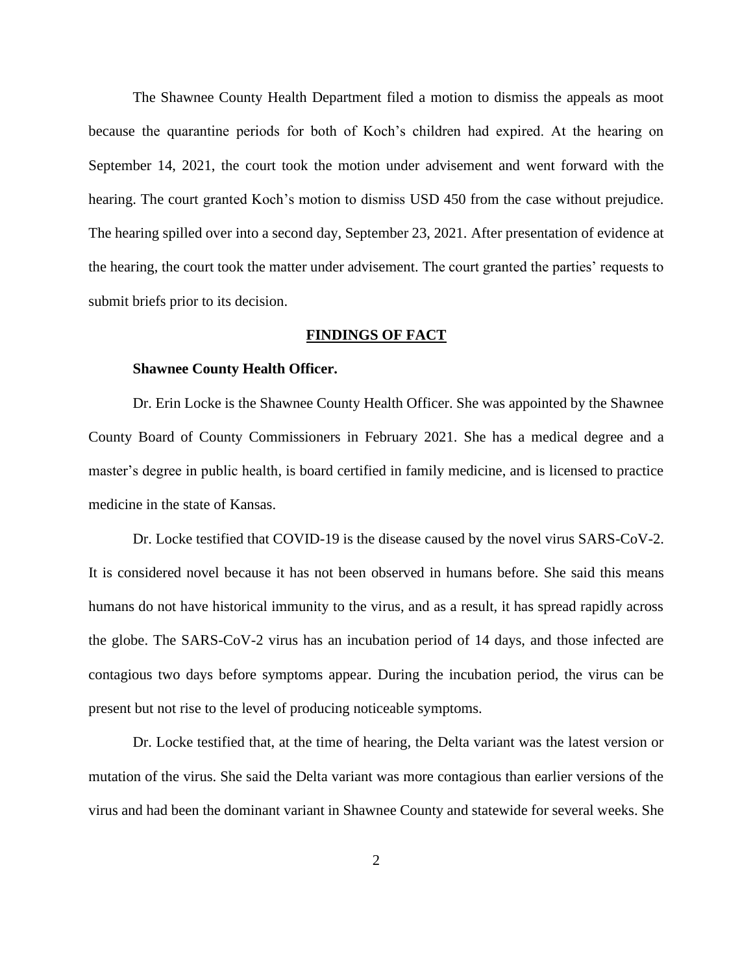The Shawnee County Health Department filed a motion to dismiss the appeals as moot because the quarantine periods for both of Koch's children had expired. At the hearing on September 14, 2021, the court took the motion under advisement and went forward with the hearing. The court granted Koch's motion to dismiss USD 450 from the case without prejudice. The hearing spilled over into a second day, September 23, 2021. After presentation of evidence at the hearing, the court took the matter under advisement. The court granted the parties' requests to submit briefs prior to its decision.

# **FINDINGS OF FACT**

# **Shawnee County Health Officer.**

Dr. Erin Locke is the Shawnee County Health Officer. She was appointed by the Shawnee County Board of County Commissioners in February 2021. She has a medical degree and a master's degree in public health, is board certified in family medicine, and is licensed to practice medicine in the state of Kansas.

Dr. Locke testified that COVID-19 is the disease caused by the novel virus SARS-CoV-2. It is considered novel because it has not been observed in humans before. She said this means humans do not have historical immunity to the virus, and as a result, it has spread rapidly across the globe. The SARS-CoV-2 virus has an incubation period of 14 days, and those infected are contagious two days before symptoms appear. During the incubation period, the virus can be present but not rise to the level of producing noticeable symptoms.

Dr. Locke testified that, at the time of hearing, the Delta variant was the latest version or mutation of the virus. She said the Delta variant was more contagious than earlier versions of the virus and had been the dominant variant in Shawnee County and statewide for several weeks. She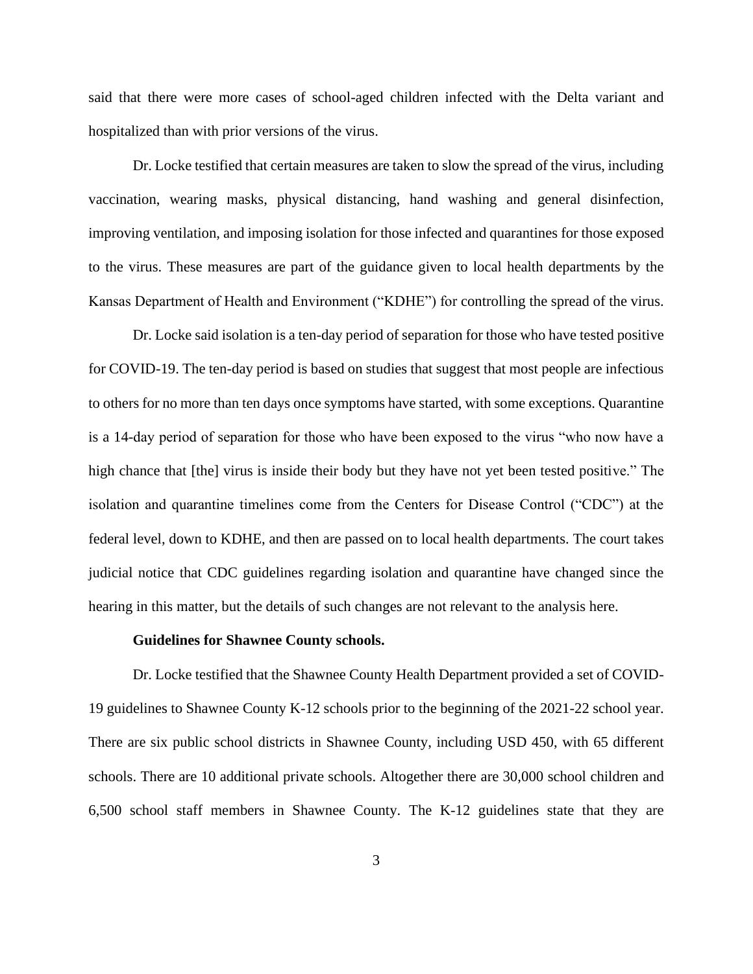said that there were more cases of school-aged children infected with the Delta variant and hospitalized than with prior versions of the virus.

Dr. Locke testified that certain measures are taken to slow the spread of the virus, including vaccination, wearing masks, physical distancing, hand washing and general disinfection, improving ventilation, and imposing isolation for those infected and quarantines for those exposed to the virus. These measures are part of the guidance given to local health departments by the Kansas Department of Health and Environment ("KDHE") for controlling the spread of the virus.

Dr. Locke said isolation is a ten-day period of separation for those who have tested positive for COVID-19. The ten-day period is based on studies that suggest that most people are infectious to others for no more than ten days once symptoms have started, with some exceptions. Quarantine is a 14-day period of separation for those who have been exposed to the virus "who now have a high chance that [the] virus is inside their body but they have not yet been tested positive." The isolation and quarantine timelines come from the Centers for Disease Control ("CDC") at the federal level, down to KDHE, and then are passed on to local health departments. The court takes judicial notice that CDC guidelines regarding isolation and quarantine have changed since the hearing in this matter, but the details of such changes are not relevant to the analysis here.

## **Guidelines for Shawnee County schools.**

Dr. Locke testified that the Shawnee County Health Department provided a set of COVID-19 guidelines to Shawnee County K-12 schools prior to the beginning of the 2021-22 school year. There are six public school districts in Shawnee County, including USD 450, with 65 different schools. There are 10 additional private schools. Altogether there are 30,000 school children and 6,500 school staff members in Shawnee County. The K-12 guidelines state that they are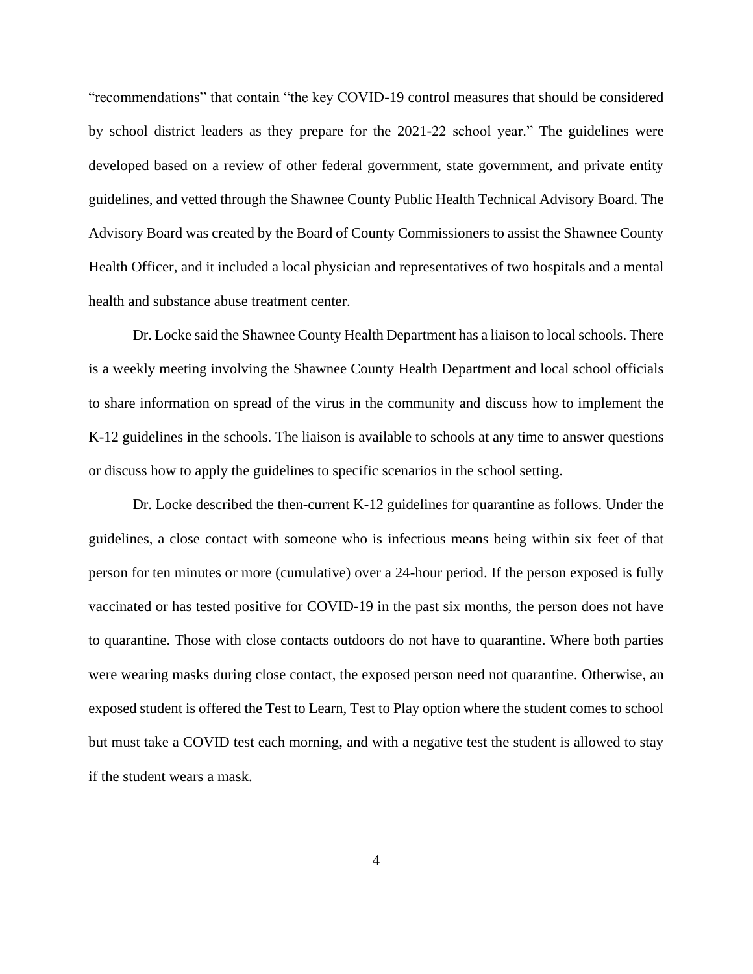"recommendations" that contain "the key COVID-19 control measures that should be considered by school district leaders as they prepare for the 2021-22 school year." The guidelines were developed based on a review of other federal government, state government, and private entity guidelines, and vetted through the Shawnee County Public Health Technical Advisory Board. The Advisory Board was created by the Board of County Commissioners to assist the Shawnee County Health Officer, and it included a local physician and representatives of two hospitals and a mental health and substance abuse treatment center.

Dr. Locke said the Shawnee County Health Department has a liaison to local schools. There is a weekly meeting involving the Shawnee County Health Department and local school officials to share information on spread of the virus in the community and discuss how to implement the K-12 guidelines in the schools. The liaison is available to schools at any time to answer questions or discuss how to apply the guidelines to specific scenarios in the school setting.

Dr. Locke described the then-current K-12 guidelines for quarantine as follows. Under the guidelines, a close contact with someone who is infectious means being within six feet of that person for ten minutes or more (cumulative) over a 24-hour period. If the person exposed is fully vaccinated or has tested positive for COVID-19 in the past six months, the person does not have to quarantine. Those with close contacts outdoors do not have to quarantine. Where both parties were wearing masks during close contact, the exposed person need not quarantine. Otherwise, an exposed student is offered the Test to Learn, Test to Play option where the student comes to school but must take a COVID test each morning, and with a negative test the student is allowed to stay if the student wears a mask.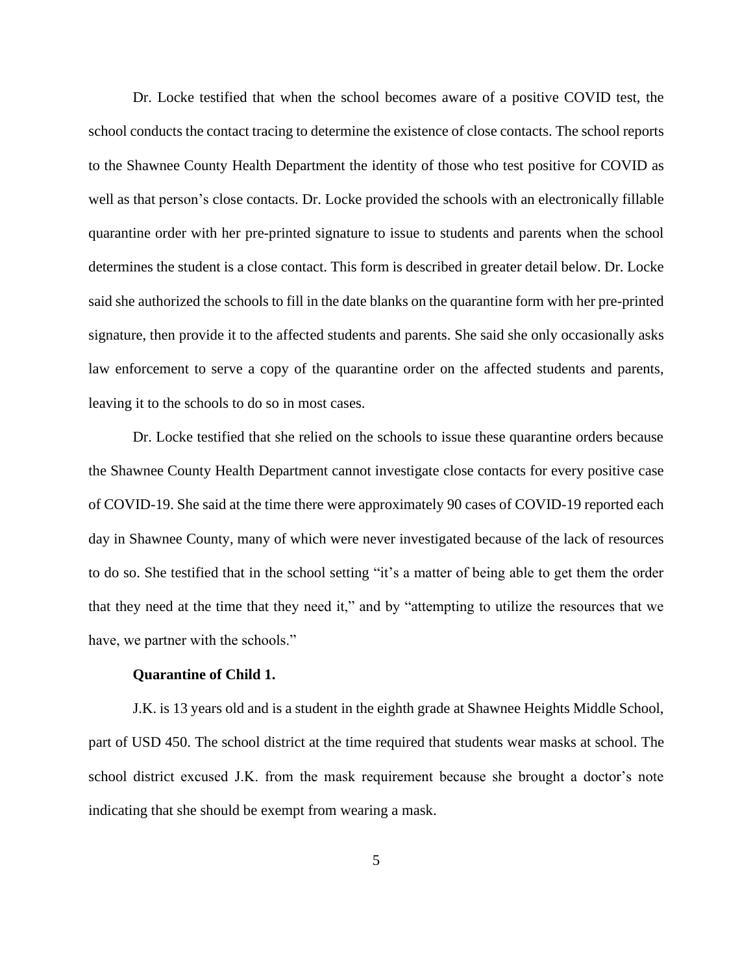Dr. Locke testified that when the school becomes aware of a positive COVID test, the school conducts the contact tracing to determine the existence of close contacts. The school reports to the Shawnee County Health Department the identity of those who test positive for COVID as well as that person's close contacts. Dr. Locke provided the schools with an electronically fillable quarantine order with her pre-printed signature to issue to students and parents when the school determines the student is a close contact. This form is described in greater detail below. Dr. Locke said she authorized the schools to fill in the date blanks on the quarantine form with her pre-printed signature, then provide it to the affected students and parents. She said she only occasionally asks law enforcement to serve a copy of the quarantine order on the affected students and parents, leaving it to the schools to do so in most cases.

Dr. Locke testified that she relied on the schools to issue these quarantine orders because the Shawnee County Health Department cannot investigate close contacts for every positive case of COVID-19. She said at the time there were approximately 90 cases of COVID-19 reported each day in Shawnee County, many of which were never investigated because of the lack of resources to do so. She testified that in the school setting "it's a matter of being able to get them the order that they need at the time that they need it," and by "attempting to utilize the resources that we have, we partner with the schools."

## **Quarantine of Child 1.**

J.K. is 13 years old and is a student in the eighth grade at Shawnee Heights Middle School, part of USD 450. The school district at the time required that students wear masks at school. The school district excused J.K. from the mask requirement because she brought a doctor's note indicating that she should be exempt from wearing a mask.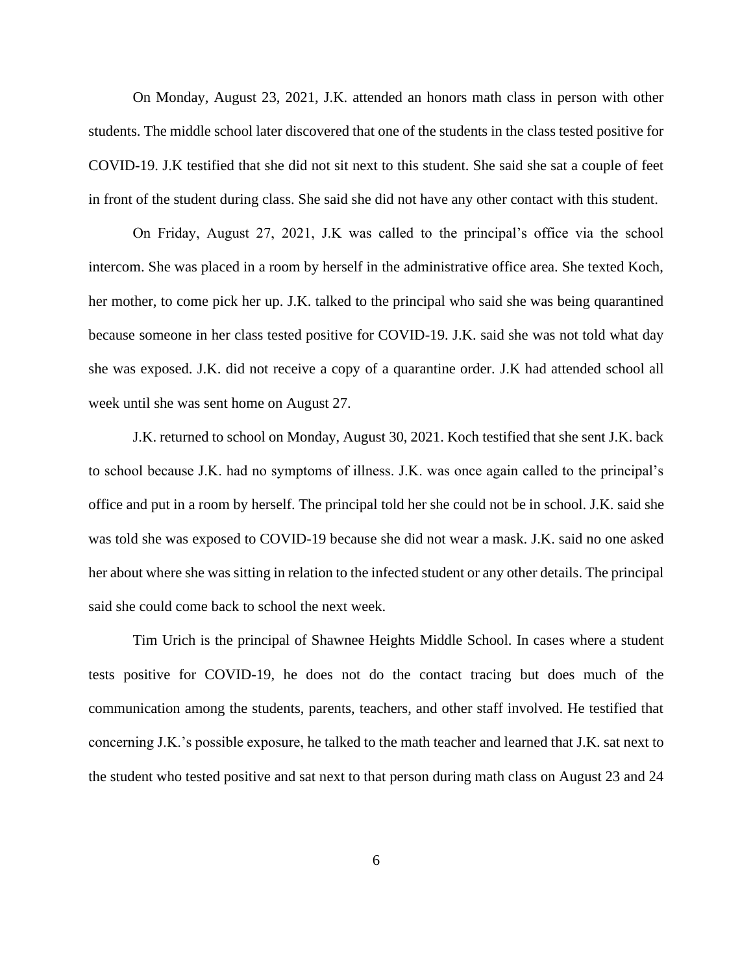On Monday, August 23, 2021, J.K. attended an honors math class in person with other students. The middle school later discovered that one of the students in the class tested positive for COVID-19. J.K testified that she did not sit next to this student. She said she sat a couple of feet in front of the student during class. She said she did not have any other contact with this student.

On Friday, August 27, 2021, J.K was called to the principal's office via the school intercom. She was placed in a room by herself in the administrative office area. She texted Koch, her mother, to come pick her up. J.K. talked to the principal who said she was being quarantined because someone in her class tested positive for COVID-19. J.K. said she was not told what day she was exposed. J.K. did not receive a copy of a quarantine order. J.K had attended school all week until she was sent home on August 27.

J.K. returned to school on Monday, August 30, 2021. Koch testified that she sent J.K. back to school because J.K. had no symptoms of illness. J.K. was once again called to the principal's office and put in a room by herself. The principal told her she could not be in school. J.K. said she was told she was exposed to COVID-19 because she did not wear a mask. J.K. said no one asked her about where she was sitting in relation to the infected student or any other details. The principal said she could come back to school the next week.

Tim Urich is the principal of Shawnee Heights Middle School. In cases where a student tests positive for COVID-19, he does not do the contact tracing but does much of the communication among the students, parents, teachers, and other staff involved. He testified that concerning J.K.'s possible exposure, he talked to the math teacher and learned that J.K. sat next to the student who tested positive and sat next to that person during math class on August 23 and 24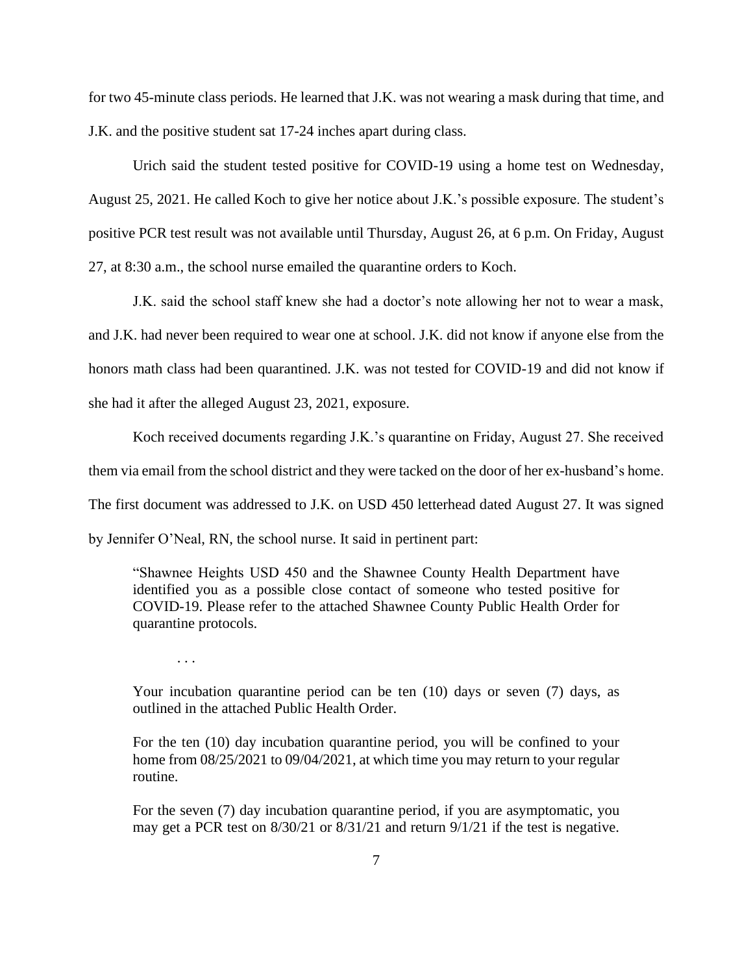for two 45-minute class periods. He learned that J.K. was not wearing a mask during that time, and J.K. and the positive student sat 17-24 inches apart during class.

Urich said the student tested positive for COVID-19 using a home test on Wednesday, August 25, 2021. He called Koch to give her notice about J.K.'s possible exposure. The student's positive PCR test result was not available until Thursday, August 26, at 6 p.m. On Friday, August 27, at 8:30 a.m., the school nurse emailed the quarantine orders to Koch.

J.K. said the school staff knew she had a doctor's note allowing her not to wear a mask, and J.K. had never been required to wear one at school. J.K. did not know if anyone else from the honors math class had been quarantined. J.K. was not tested for COVID-19 and did not know if she had it after the alleged August 23, 2021, exposure.

Koch received documents regarding J.K.'s quarantine on Friday, August 27. She received them via email from the school district and they were tacked on the door of her ex-husband's home. The first document was addressed to J.K. on USD 450 letterhead dated August 27. It was signed by Jennifer O'Neal, RN, the school nurse. It said in pertinent part:

"Shawnee Heights USD 450 and the Shawnee County Health Department have identified you as a possible close contact of someone who tested positive for COVID-19. Please refer to the attached Shawnee County Public Health Order for quarantine protocols.

. . .

Your incubation quarantine period can be ten (10) days or seven (7) days, as outlined in the attached Public Health Order.

For the ten (10) day incubation quarantine period, you will be confined to your home from 08/25/2021 to 09/04/2021, at which time you may return to your regular routine.

For the seven (7) day incubation quarantine period, if you are asymptomatic, you may get a PCR test on 8/30/21 or 8/31/21 and return 9/1/21 if the test is negative.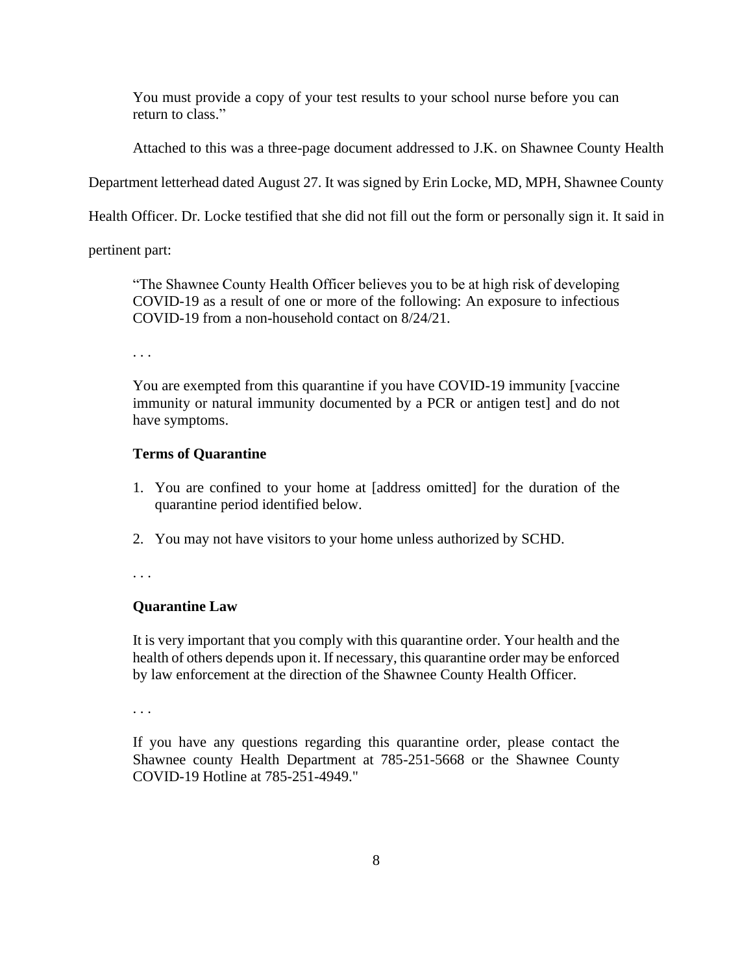You must provide a copy of your test results to your school nurse before you can return to class."

Attached to this was a three-page document addressed to J.K. on Shawnee County Health

Department letterhead dated August 27. It was signed by Erin Locke, MD, MPH, Shawnee County

Health Officer. Dr. Locke testified that she did not fill out the form or personally sign it. It said in

pertinent part:

"The Shawnee County Health Officer believes you to be at high risk of developing COVID-19 as a result of one or more of the following: An exposure to infectious COVID-19 from a non-household contact on 8/24/21.

. . .

You are exempted from this quarantine if you have COVID-19 immunity [vaccine immunity or natural immunity documented by a PCR or antigen test] and do not have symptoms.

# **Terms of Quarantine**

- 1. You are confined to your home at [address omitted] for the duration of the quarantine period identified below.
- 2. You may not have visitors to your home unless authorized by SCHD.

. . .

# **Quarantine Law**

It is very important that you comply with this quarantine order. Your health and the health of others depends upon it. If necessary, this quarantine order may be enforced by law enforcement at the direction of the Shawnee County Health Officer.

. . .

If you have any questions regarding this quarantine order, please contact the Shawnee county Health Department at 785-251-5668 or the Shawnee County COVID-19 Hotline at 785-251-4949."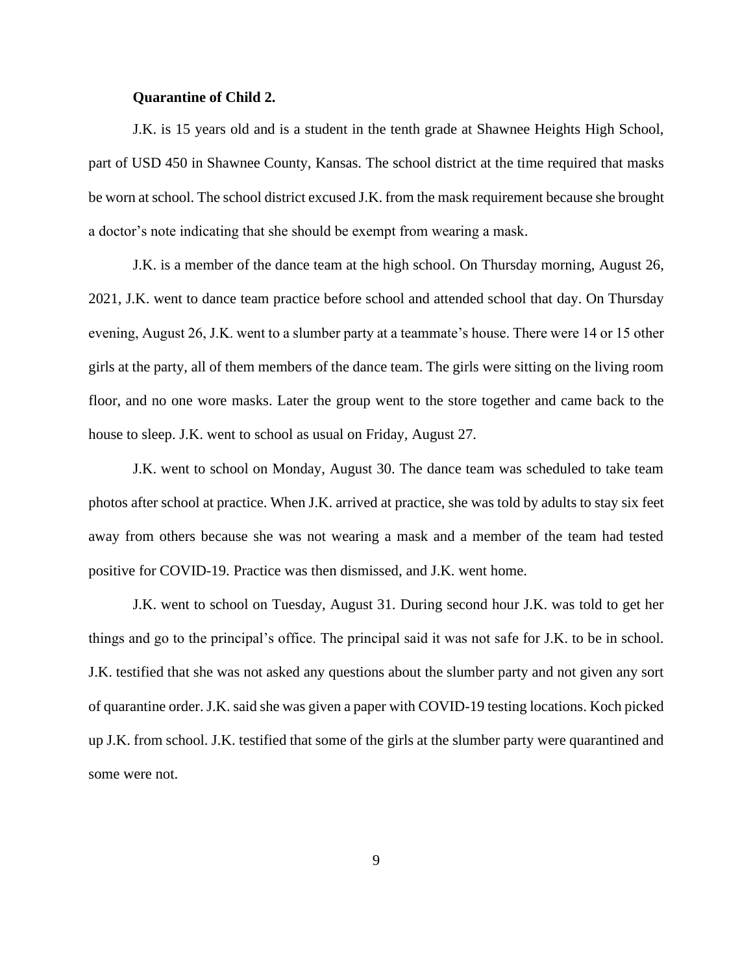# **Quarantine of Child 2.**

J.K. is 15 years old and is a student in the tenth grade at Shawnee Heights High School, part of USD 450 in Shawnee County, Kansas. The school district at the time required that masks be worn at school. The school district excused J.K. from the mask requirement because she brought a doctor's note indicating that she should be exempt from wearing a mask.

J.K. is a member of the dance team at the high school. On Thursday morning, August 26, 2021, J.K. went to dance team practice before school and attended school that day. On Thursday evening, August 26, J.K. went to a slumber party at a teammate's house. There were 14 or 15 other girls at the party, all of them members of the dance team. The girls were sitting on the living room floor, and no one wore masks. Later the group went to the store together and came back to the house to sleep. J.K. went to school as usual on Friday, August 27.

J.K. went to school on Monday, August 30. The dance team was scheduled to take team photos after school at practice. When J.K. arrived at practice, she was told by adults to stay six feet away from others because she was not wearing a mask and a member of the team had tested positive for COVID-19. Practice was then dismissed, and J.K. went home.

J.K. went to school on Tuesday, August 31. During second hour J.K. was told to get her things and go to the principal's office. The principal said it was not safe for J.K. to be in school. J.K. testified that she was not asked any questions about the slumber party and not given any sort of quarantine order. J.K. said she was given a paper with COVID-19 testing locations. Koch picked up J.K. from school. J.K. testified that some of the girls at the slumber party were quarantined and some were not.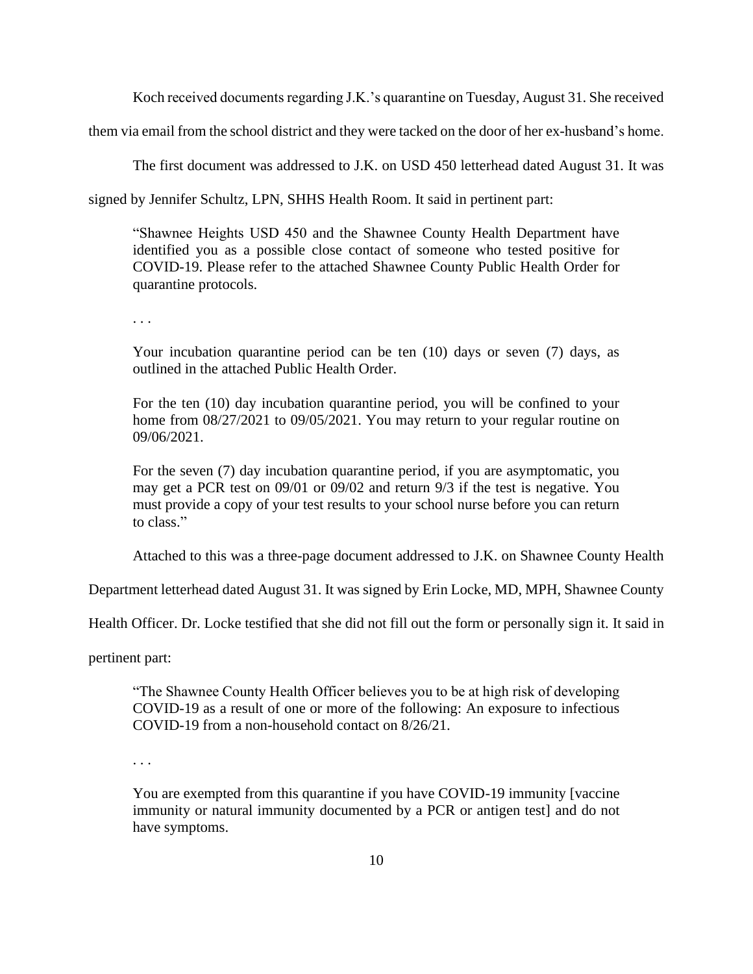Koch received documents regarding J.K.'s quarantine on Tuesday, August 31. She received

them via email from the school district and they were tacked on the door of her ex-husband's home.

The first document was addressed to J.K. on USD 450 letterhead dated August 31. It was

signed by Jennifer Schultz, LPN, SHHS Health Room. It said in pertinent part:

"Shawnee Heights USD 450 and the Shawnee County Health Department have identified you as a possible close contact of someone who tested positive for COVID-19. Please refer to the attached Shawnee County Public Health Order for quarantine protocols.

. . .

Your incubation quarantine period can be ten (10) days or seven (7) days, as outlined in the attached Public Health Order.

For the ten (10) day incubation quarantine period, you will be confined to your home from 08/27/2021 to 09/05/2021. You may return to your regular routine on 09/06/2021.

For the seven (7) day incubation quarantine period, if you are asymptomatic, you may get a PCR test on 09/01 or 09/02 and return 9/3 if the test is negative. You must provide a copy of your test results to your school nurse before you can return to class."

Attached to this was a three-page document addressed to J.K. on Shawnee County Health

Department letterhead dated August 31. It was signed by Erin Locke, MD, MPH, Shawnee County

Health Officer. Dr. Locke testified that she did not fill out the form or personally sign it. It said in

pertinent part:

"The Shawnee County Health Officer believes you to be at high risk of developing COVID-19 as a result of one or more of the following: An exposure to infectious COVID-19 from a non-household contact on 8/26/21.

. . .

You are exempted from this quarantine if you have COVID-19 immunity [vaccine immunity or natural immunity documented by a PCR or antigen test] and do not have symptoms.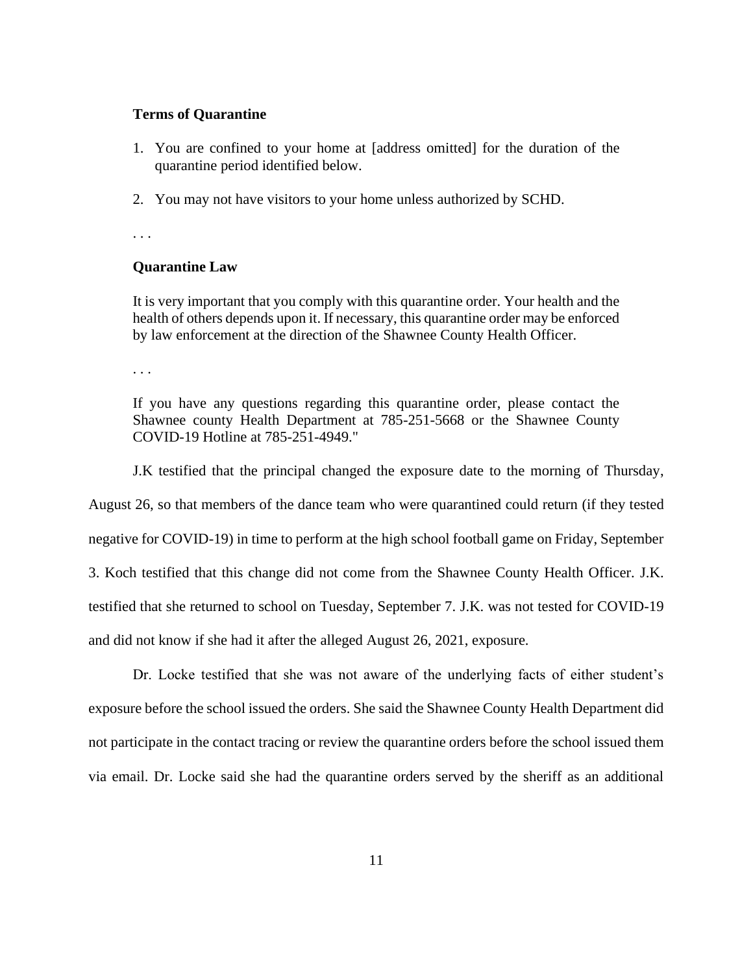# **Terms of Quarantine**

- 1. You are confined to your home at [address omitted] for the duration of the quarantine period identified below.
- 2. You may not have visitors to your home unless authorized by SCHD.

. . .

# **Quarantine Law**

It is very important that you comply with this quarantine order. Your health and the health of others depends upon it. If necessary, this quarantine order may be enforced by law enforcement at the direction of the Shawnee County Health Officer.

. . .

If you have any questions regarding this quarantine order, please contact the Shawnee county Health Department at 785-251-5668 or the Shawnee County COVID-19 Hotline at 785-251-4949."

J.K testified that the principal changed the exposure date to the morning of Thursday,

August 26, so that members of the dance team who were quarantined could return (if they tested negative for COVID-19) in time to perform at the high school football game on Friday, September 3. Koch testified that this change did not come from the Shawnee County Health Officer. J.K. testified that she returned to school on Tuesday, September 7. J.K. was not tested for COVID-19 and did not know if she had it after the alleged August 26, 2021, exposure.

Dr. Locke testified that she was not aware of the underlying facts of either student's exposure before the school issued the orders. She said the Shawnee County Health Department did not participate in the contact tracing or review the quarantine orders before the school issued them via email. Dr. Locke said she had the quarantine orders served by the sheriff as an additional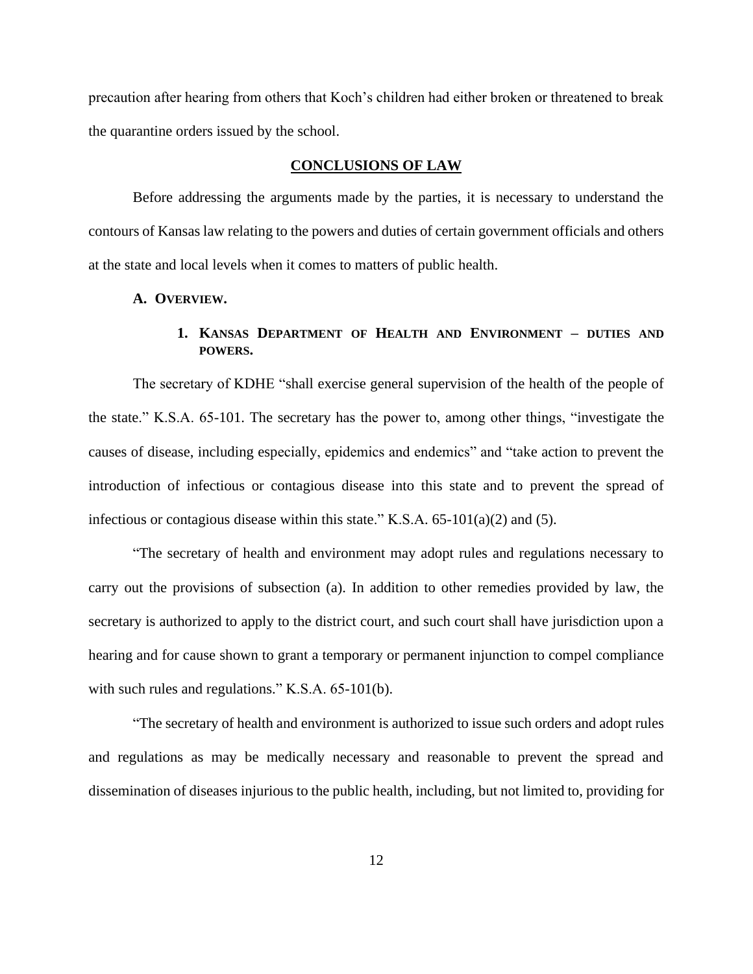precaution after hearing from others that Koch's children had either broken or threatened to break the quarantine orders issued by the school.

# **CONCLUSIONS OF LAW**

Before addressing the arguments made by the parties, it is necessary to understand the contours of Kansas law relating to the powers and duties of certain government officials and others at the state and local levels when it comes to matters of public health.

## **A. OVERVIEW.**

# **1. KANSAS DEPARTMENT OF HEALTH AND ENVIRONMENT – DUTIES AND POWERS.**

The secretary of KDHE "shall exercise general supervision of the health of the people of the state." K.S.A. 65-101. The secretary has the power to, among other things, "investigate the causes of disease, including especially, epidemics and endemics" and "take action to prevent the introduction of infectious or contagious disease into this state and to prevent the spread of infectious or contagious disease within this state." K.S.A. 65-101(a)(2) and (5).

"The secretary of health and environment may adopt rules and regulations necessary to carry out the provisions of subsection (a). In addition to other remedies provided by law, the secretary is authorized to apply to the district court, and such court shall have jurisdiction upon a hearing and for cause shown to grant a temporary or permanent injunction to compel compliance with such rules and regulations." K.S.A. 65-101(b).

"The secretary of health and environment is authorized to issue such orders and adopt rules and regulations as may be medically necessary and reasonable to prevent the spread and dissemination of diseases injurious to the public health, including, but not limited to, providing for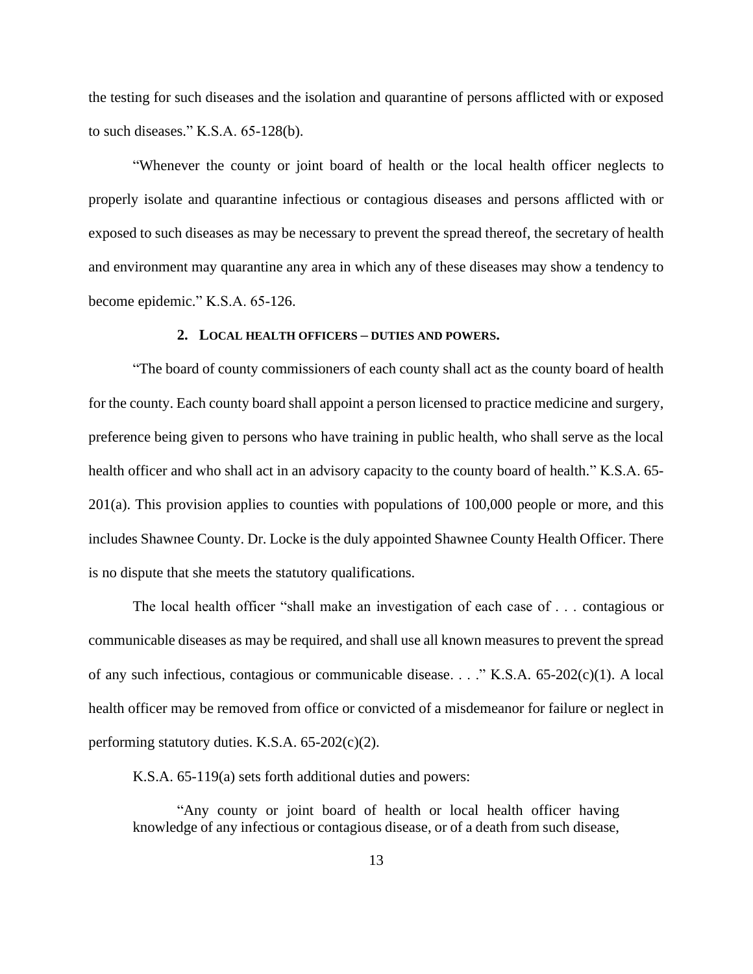the testing for such diseases and the isolation and quarantine of persons afflicted with or exposed to such diseases." K.S.A. 65-128(b).

"Whenever the county or joint board of health or the local health officer neglects to properly isolate and quarantine infectious or contagious diseases and persons afflicted with or exposed to such diseases as may be necessary to prevent the spread thereof, the secretary of health and environment may quarantine any area in which any of these diseases may show a tendency to become epidemic." K.S.A. 65-126.

# **2. LOCAL HEALTH OFFICERS – DUTIES AND POWERS.**

"The board of county commissioners of each county shall act as the county board of health for the county. Each county board shall appoint a person licensed to practice medicine and surgery, preference being given to persons who have training in public health, who shall serve as the local health officer and who shall act in an advisory capacity to the county board of health." K.S.A. 65- 201(a). This provision applies to counties with populations of 100,000 people or more, and this includes Shawnee County. Dr. Locke is the duly appointed Shawnee County Health Officer. There is no dispute that she meets the statutory qualifications.

The local health officer "shall make an investigation of each case of . . . contagious or communicable diseases as may be required, and shall use all known measures to prevent the spread of any such infectious, contagious or communicable disease. . . ." K.S.A. 65-202(c)(1). A local health officer may be removed from office or convicted of a misdemeanor for failure or neglect in performing statutory duties. K.S.A. 65-202(c)(2).

K.S.A. 65-119(a) sets forth additional duties and powers:

"Any county or joint board of health or local health officer having knowledge of any infectious or contagious disease, or of a death from such disease,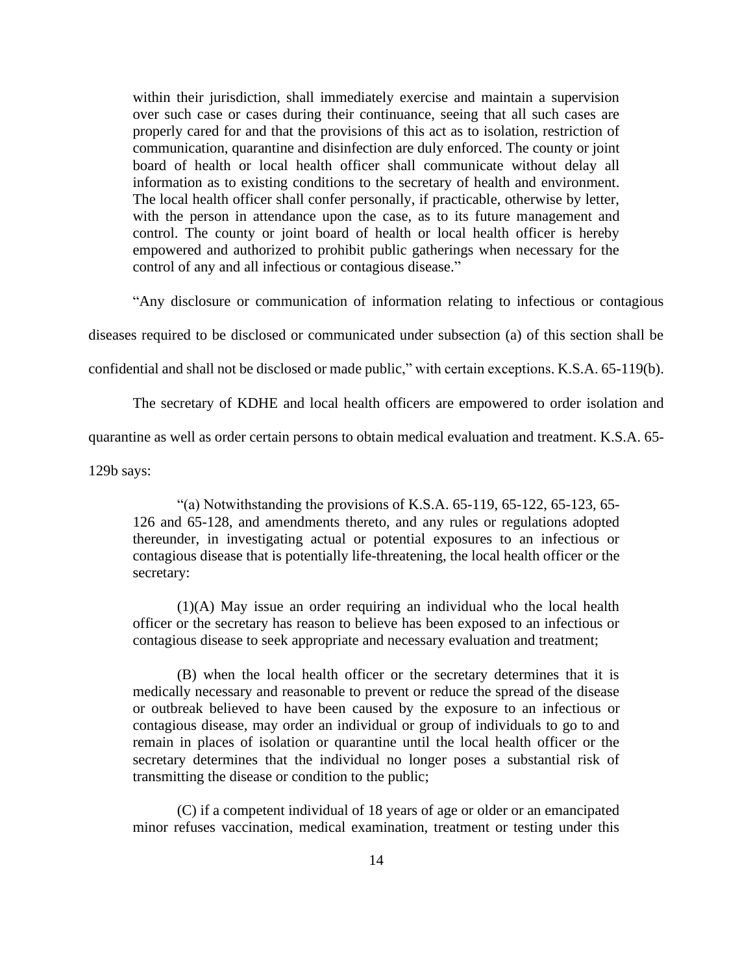within their jurisdiction, shall immediately exercise and maintain a supervision over such case or cases during their continuance, seeing that all such cases are properly cared for and that the provisions of this act as to isolation, restriction of communication, quarantine and disinfection are duly enforced. The county or joint board of health or local health officer shall communicate without delay all information as to existing conditions to the secretary of health and environment. The local health officer shall confer personally, if practicable, otherwise by letter, with the person in attendance upon the case, as to its future management and control. The county or joint board of health or local health officer is hereby empowered and authorized to prohibit public gatherings when necessary for the control of any and all infectious or contagious disease."

"Any disclosure or communication of information relating to infectious or contagious

diseases required to be disclosed or communicated under subsection (a) of this section shall be

confidential and shall not be disclosed or made public," with certain exceptions. K.S.A. 65-119(b).

The secretary of KDHE and local health officers are empowered to order isolation and

quarantine as well as order certain persons to obtain medical evaluation and treatment. K.S.A. 65-

129b says:

"(a) Notwithstanding the provisions of K.S.A.  $65-119$ ,  $65-122$ ,  $65-123$ ,  $65-$ 126 and 65-128, and amendments thereto, and any rules or regulations adopted thereunder, in investigating actual or potential exposures to an infectious or contagious disease that is potentially life-threatening, the local health officer or the secretary:

(1)(A) May issue an order requiring an individual who the local health officer or the secretary has reason to believe has been exposed to an infectious or contagious disease to seek appropriate and necessary evaluation and treatment;

(B) when the local health officer or the secretary determines that it is medically necessary and reasonable to prevent or reduce the spread of the disease or outbreak believed to have been caused by the exposure to an infectious or contagious disease, may order an individual or group of individuals to go to and remain in places of isolation or quarantine until the local health officer or the secretary determines that the individual no longer poses a substantial risk of transmitting the disease or condition to the public;

(C) if a competent individual of 18 years of age or older or an emancipated minor refuses vaccination, medical examination, treatment or testing under this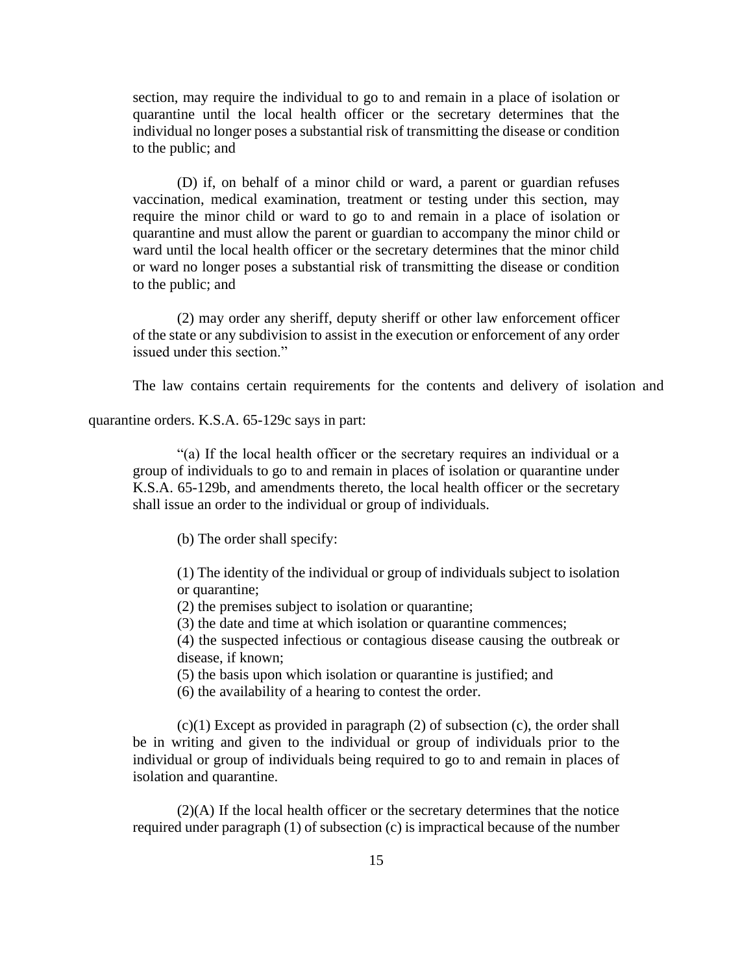section, may require the individual to go to and remain in a place of isolation or quarantine until the local health officer or the secretary determines that the individual no longer poses a substantial risk of transmitting the disease or condition to the public; and

(D) if, on behalf of a minor child or ward, a parent or guardian refuses vaccination, medical examination, treatment or testing under this section, may require the minor child or ward to go to and remain in a place of isolation or quarantine and must allow the parent or guardian to accompany the minor child or ward until the local health officer or the secretary determines that the minor child or ward no longer poses a substantial risk of transmitting the disease or condition to the public; and

(2) may order any sheriff, deputy sheriff or other law enforcement officer of the state or any subdivision to assist in the execution or enforcement of any order issued under this section."

The law contains certain requirements for the contents and delivery of isolation and

quarantine orders. K.S.A. 65-129c says in part:

"(a) If the local health officer or the secretary requires an individual or a group of individuals to go to and remain in places of isolation or quarantine under K.S.A. 65-129b, and amendments thereto, the local health officer or the secretary shall issue an order to the individual or group of individuals.

(b) The order shall specify:

(1) The identity of the individual or group of individuals subject to isolation or quarantine;

(2) the premises subject to isolation or quarantine;

(3) the date and time at which isolation or quarantine commences;

(4) the suspected infectious or contagious disease causing the outbreak or disease, if known;

(5) the basis upon which isolation or quarantine is justified; and

(6) the availability of a hearing to contest the order.

 $(c)(1)$  Except as provided in paragraph  $(2)$  of subsection  $(c)$ , the order shall be in writing and given to the individual or group of individuals prior to the individual or group of individuals being required to go to and remain in places of isolation and quarantine.

(2)(A) If the local health officer or the secretary determines that the notice required under paragraph (1) of subsection (c) is impractical because of the number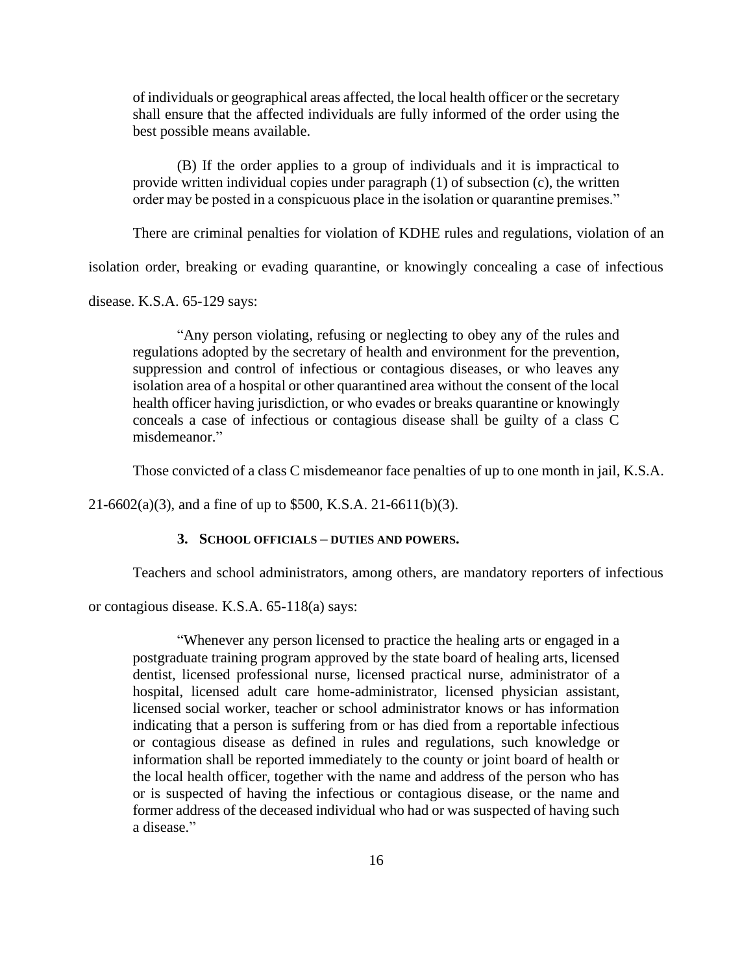of individuals or geographical areas affected, the local health officer or the secretary shall ensure that the affected individuals are fully informed of the order using the best possible means available.

(B) If the order applies to a group of individuals and it is impractical to provide written individual copies under paragraph (1) of subsection (c), the written order may be posted in a conspicuous place in the isolation or quarantine premises."

There are criminal penalties for violation of KDHE rules and regulations, violation of an

isolation order, breaking or evading quarantine, or knowingly concealing a case of infectious

disease. K.S.A. 65-129 says:

"Any person violating, refusing or neglecting to obey any of the rules and regulations adopted by the secretary of health and environment for the prevention, suppression and control of infectious or contagious diseases, or who leaves any isolation area of a hospital or other quarantined area without the consent of the local health officer having jurisdiction, or who evades or breaks quarantine or knowingly conceals a case of infectious or contagious disease shall be guilty of a class C misdemeanor."

Those convicted of a class C misdemeanor face penalties of up to one month in jail, K.S.A.

 $21-6602(a)(3)$ , and a fine of up to \$500, K.S.A. 21-6611(b)(3).

## **3. SCHOOL OFFICIALS – DUTIES AND POWERS.**

Teachers and school administrators, among others, are mandatory reporters of infectious

or contagious disease. K.S.A. 65-118(a) says:

"Whenever any person licensed to practice the healing arts or engaged in a postgraduate training program approved by the state board of healing arts, licensed dentist, licensed professional nurse, licensed practical nurse, administrator of a hospital, licensed adult care home-administrator, licensed physician assistant, licensed social worker, teacher or school administrator knows or has information indicating that a person is suffering from or has died from a reportable infectious or contagious disease as defined in rules and regulations, such knowledge or information shall be reported immediately to the county or joint board of health or the local health officer, together with the name and address of the person who has or is suspected of having the infectious or contagious disease, or the name and former address of the deceased individual who had or was suspected of having such a disease."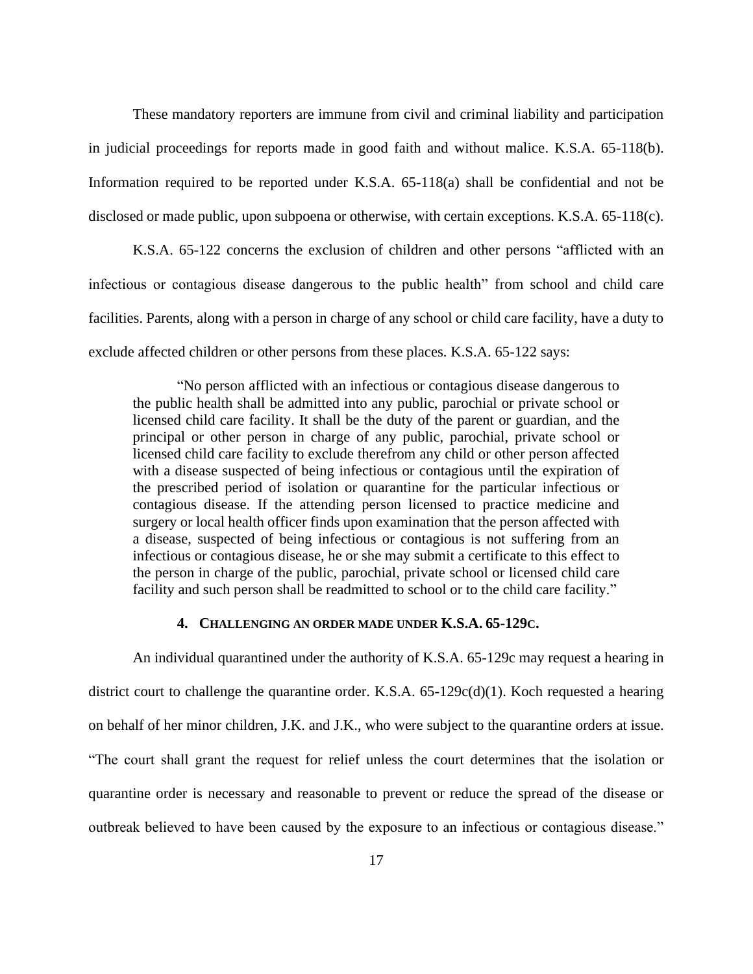These mandatory reporters are immune from civil and criminal liability and participation in judicial proceedings for reports made in good faith and without malice. K.S.A. 65-118(b). Information required to be reported under K.S.A. 65-118(a) shall be confidential and not be disclosed or made public, upon subpoena or otherwise, with certain exceptions. K.S.A. 65-118(c).

K.S.A. 65-122 concerns the exclusion of children and other persons "afflicted with an infectious or contagious disease dangerous to the public health" from school and child care facilities. Parents, along with a person in charge of any school or child care facility, have a duty to exclude affected children or other persons from these places. K.S.A. 65-122 says:

"No person afflicted with an infectious or contagious disease dangerous to the public health shall be admitted into any public, parochial or private school or licensed child care facility. It shall be the duty of the parent or guardian, and the principal or other person in charge of any public, parochial, private school or licensed child care facility to exclude therefrom any child or other person affected with a disease suspected of being infectious or contagious until the expiration of the prescribed period of isolation or quarantine for the particular infectious or contagious disease. If the attending person licensed to practice medicine and surgery or local health officer finds upon examination that the person affected with a disease, suspected of being infectious or contagious is not suffering from an infectious or contagious disease, he or she may submit a certificate to this effect to the person in charge of the public, parochial, private school or licensed child care facility and such person shall be readmitted to school or to the child care facility."

# **4. CHALLENGING AN ORDER MADE UNDER K.S.A. 65-129C.**

An individual quarantined under the authority of K.S.A. 65-129c may request a hearing in district court to challenge the quarantine order. K.S.A. 65-129c(d)(1). Koch requested a hearing on behalf of her minor children, J.K. and J.K., who were subject to the quarantine orders at issue. "The court shall grant the request for relief unless the court determines that the isolation or quarantine order is necessary and reasonable to prevent or reduce the spread of the disease or outbreak believed to have been caused by the exposure to an infectious or contagious disease."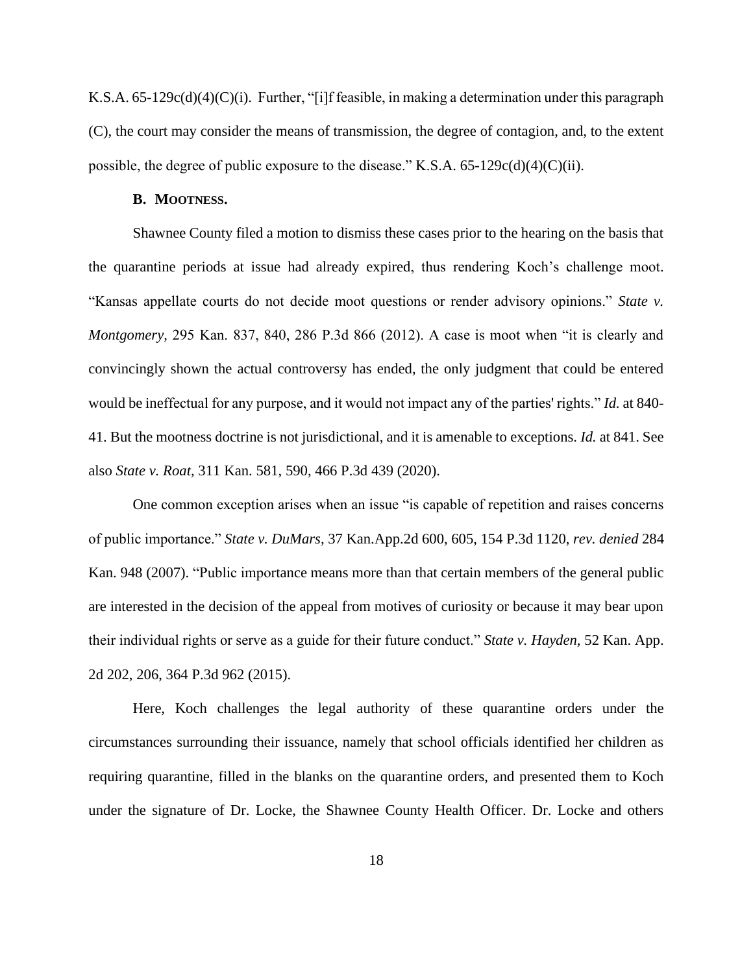K.S.A. 65-129c(d)(4)(C)(i). Further, "[i]f feasible, in making a determination under this paragraph (C), the court may consider the means of transmission, the degree of contagion, and, to the extent possible, the degree of public exposure to the disease." K.S.A. 65-129c(d)(4)(C)(ii).

# **B. MOOTNESS.**

Shawnee County filed a motion to dismiss these cases prior to the hearing on the basis that the quarantine periods at issue had already expired, thus rendering Koch's challenge moot. "Kansas appellate courts do not decide moot questions or render advisory opinions." *State v. Montgomery,* 295 Kan. 837, 840, 286 P.3d 866 (2012). A case is moot when "it is clearly and convincingly shown the actual controversy has ended, the only judgment that could be entered would be ineffectual for any purpose, and it would not impact any of the parties' rights." *Id.* at 840- 41. But the mootness doctrine is not jurisdictional, and it is amenable to exceptions. *Id.* at 841. See also *State v. Roat,* 311 Kan. 581, 590, 466 P.3d 439 (2020).

One common exception arises when an issue "is capable of repetition and raises concerns of public importance." *State v. DuMars,* 37 Kan.App.2d 600, 605, 154 P.3d 1120, *rev. denied* 284 Kan. 948 (2007). "Public importance means more than that certain members of the general public are interested in the decision of the appeal from motives of curiosity or because it may bear upon their individual rights or serve as a guide for their future conduct." *State v. Hayden,* 52 Kan. App. 2d 202, 206, 364 P.3d 962 (2015).

Here, Koch challenges the legal authority of these quarantine orders under the circumstances surrounding their issuance, namely that school officials identified her children as requiring quarantine, filled in the blanks on the quarantine orders, and presented them to Koch under the signature of Dr. Locke, the Shawnee County Health Officer. Dr. Locke and others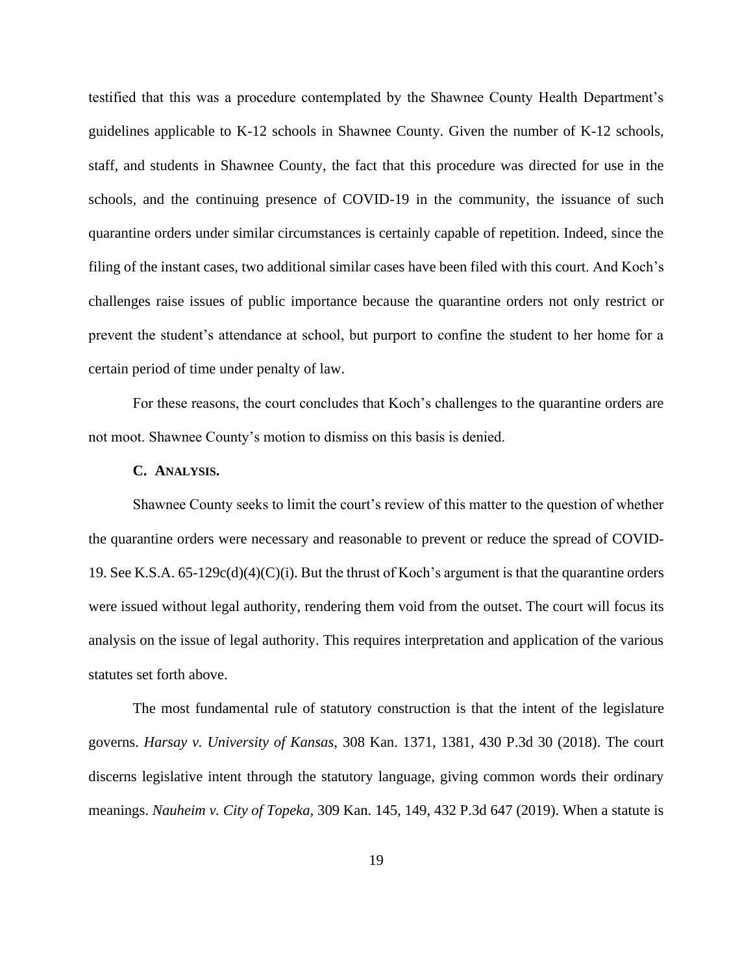testified that this was a procedure contemplated by the Shawnee County Health Department's guidelines applicable to K-12 schools in Shawnee County. Given the number of K-12 schools, staff, and students in Shawnee County, the fact that this procedure was directed for use in the schools, and the continuing presence of COVID-19 in the community, the issuance of such quarantine orders under similar circumstances is certainly capable of repetition. Indeed, since the filing of the instant cases, two additional similar cases have been filed with this court. And Koch's challenges raise issues of public importance because the quarantine orders not only restrict or prevent the student's attendance at school, but purport to confine the student to her home for a certain period of time under penalty of law.

For these reasons, the court concludes that Koch's challenges to the quarantine orders are not moot. Shawnee County's motion to dismiss on this basis is denied.

#### **C. ANALYSIS.**

Shawnee County seeks to limit the court's review of this matter to the question of whether the quarantine orders were necessary and reasonable to prevent or reduce the spread of COVID-19. See K.S.A.  $65-129c(d)(4)(C)(i)$ . But the thrust of Koch's argument is that the quarantine orders were issued without legal authority, rendering them void from the outset. The court will focus its analysis on the issue of legal authority. This requires interpretation and application of the various statutes set forth above.

The most fundamental rule of statutory construction is that the intent of the legislature governs. *Harsay v. University of Kansas,* 308 Kan. 1371, 1381, 430 P.3d 30 (2018). The court discerns legislative intent through the statutory language, giving common words their ordinary meanings. *Nauheim v. City of Topeka,* 309 Kan. 145, 149, 432 P.3d 647 (2019). When a statute is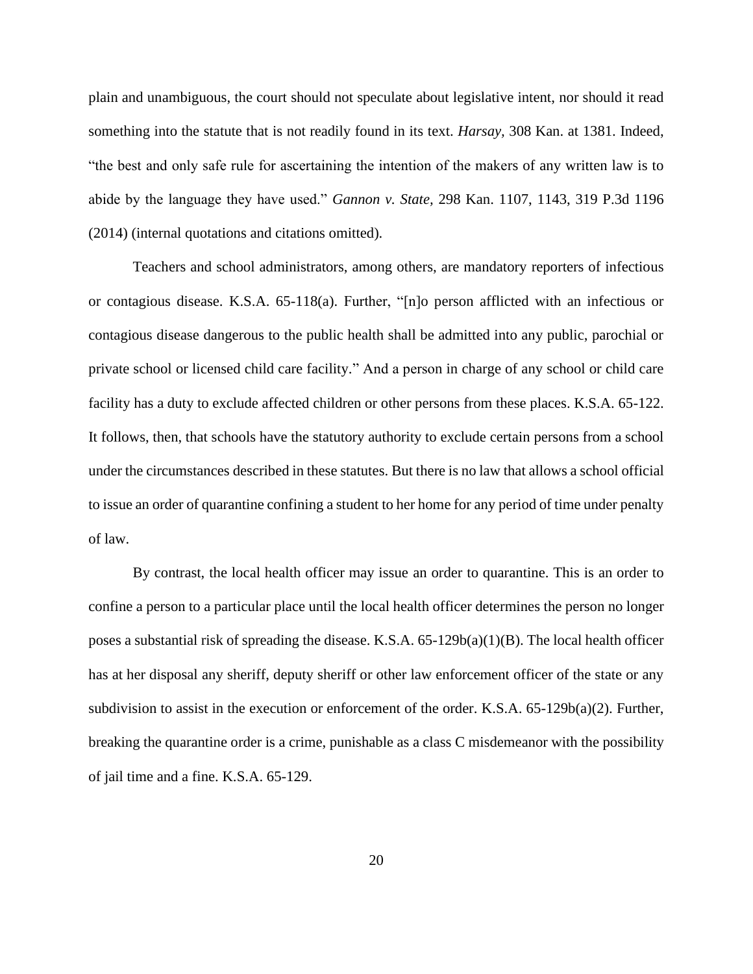plain and unambiguous, the court should not speculate about legislative intent, nor should it read something into the statute that is not readily found in its text. *Harsay,* 308 Kan. at 1381. Indeed, "the best and only safe rule for ascertaining the intention of the makers of any written law is to abide by the language they have used." *Gannon v. State,* 298 Kan. 1107, 1143, 319 P.3d 1196 (2014) (internal quotations and citations omitted).

Teachers and school administrators, among others, are mandatory reporters of infectious or contagious disease. K.S.A. 65-118(a). Further, "[n]o person afflicted with an infectious or contagious disease dangerous to the public health shall be admitted into any public, parochial or private school or licensed child care facility." And a person in charge of any school or child care facility has a duty to exclude affected children or other persons from these places. K.S.A. 65-122. It follows, then, that schools have the statutory authority to exclude certain persons from a school under the circumstances described in these statutes. But there is no law that allows a school official to issue an order of quarantine confining a student to her home for any period of time under penalty of law.

By contrast, the local health officer may issue an order to quarantine. This is an order to confine a person to a particular place until the local health officer determines the person no longer poses a substantial risk of spreading the disease. K.S.A. 65-129b(a)(1)(B). The local health officer has at her disposal any sheriff, deputy sheriff or other law enforcement officer of the state or any subdivision to assist in the execution or enforcement of the order. K.S.A.  $65-129b(a)(2)$ . Further, breaking the quarantine order is a crime, punishable as a class C misdemeanor with the possibility of jail time and a fine. K.S.A. 65-129.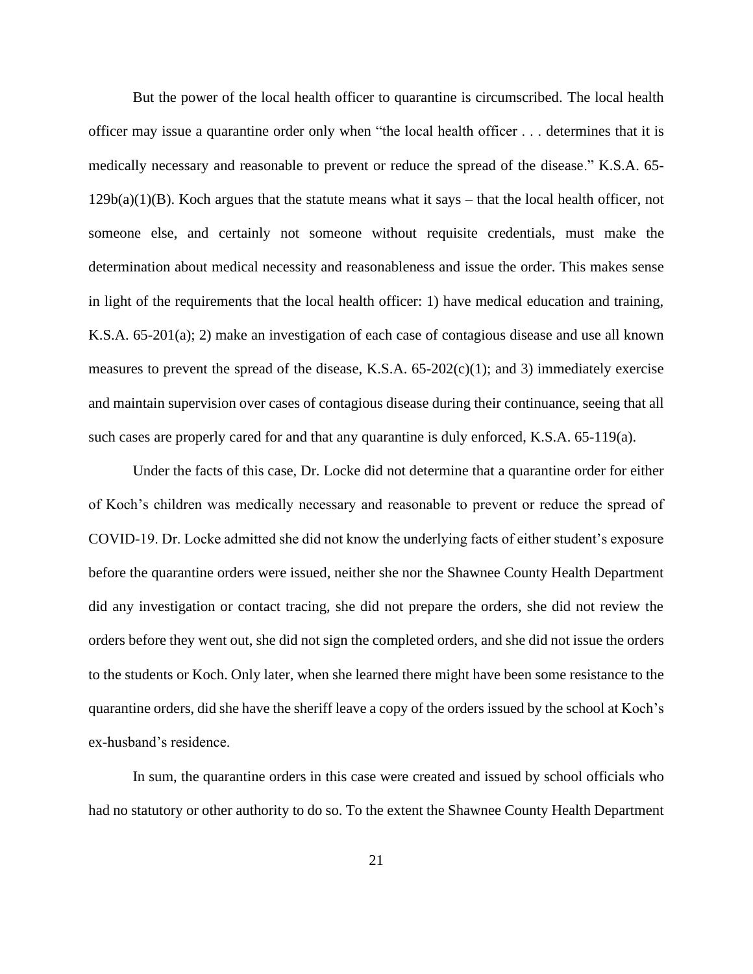But the power of the local health officer to quarantine is circumscribed. The local health officer may issue a quarantine order only when "the local health officer . . . determines that it is medically necessary and reasonable to prevent or reduce the spread of the disease." K.S.A. 65-  $129b(a)(1)(B)$ . Koch argues that the statute means what it says – that the local health officer, not someone else, and certainly not someone without requisite credentials, must make the determination about medical necessity and reasonableness and issue the order. This makes sense in light of the requirements that the local health officer: 1) have medical education and training, K.S.A. 65-201(a); 2) make an investigation of each case of contagious disease and use all known measures to prevent the spread of the disease, K.S.A.  $65-202(c)(1)$ ; and 3) immediately exercise and maintain supervision over cases of contagious disease during their continuance, seeing that all such cases are properly cared for and that any quarantine is duly enforced, K.S.A. 65-119(a).

Under the facts of this case, Dr. Locke did not determine that a quarantine order for either of Koch's children was medically necessary and reasonable to prevent or reduce the spread of COVID-19. Dr. Locke admitted she did not know the underlying facts of either student's exposure before the quarantine orders were issued, neither she nor the Shawnee County Health Department did any investigation or contact tracing, she did not prepare the orders, she did not review the orders before they went out, she did not sign the completed orders, and she did not issue the orders to the students or Koch. Only later, when she learned there might have been some resistance to the quarantine orders, did she have the sheriff leave a copy of the orders issued by the school at Koch's ex-husband's residence.

In sum, the quarantine orders in this case were created and issued by school officials who had no statutory or other authority to do so. To the extent the Shawnee County Health Department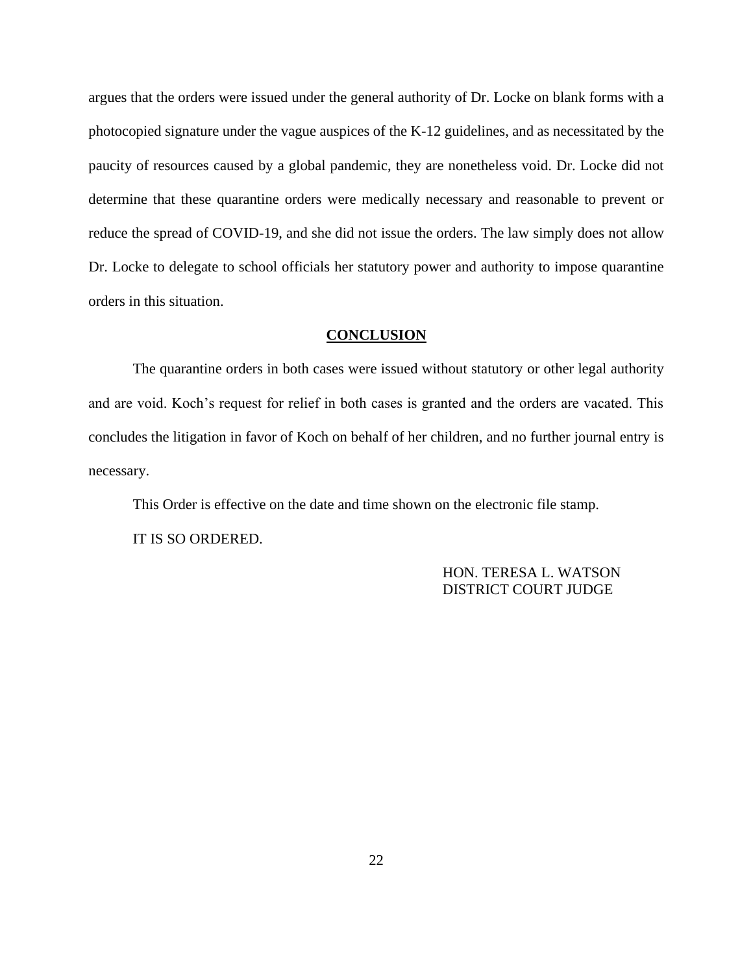argues that the orders were issued under the general authority of Dr. Locke on blank forms with a photocopied signature under the vague auspices of the K-12 guidelines, and as necessitated by the paucity of resources caused by a global pandemic, they are nonetheless void. Dr. Locke did not determine that these quarantine orders were medically necessary and reasonable to prevent or reduce the spread of COVID-19, and she did not issue the orders. The law simply does not allow Dr. Locke to delegate to school officials her statutory power and authority to impose quarantine orders in this situation.

# **CONCLUSION**

The quarantine orders in both cases were issued without statutory or other legal authority and are void. Koch's request for relief in both cases is granted and the orders are vacated. This concludes the litigation in favor of Koch on behalf of her children, and no further journal entry is necessary.

This Order is effective on the date and time shown on the electronic file stamp. IT IS SO ORDERED.

> HON. TERESA L. WATSON DISTRICT COURT JUDGE